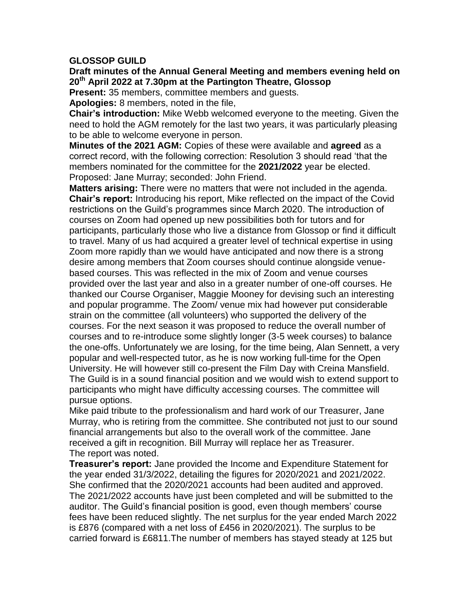## **GLOSSOP GUILD**

## **Draft minutes of the Annual General Meeting and members evening held on 20th April 2022 at 7.30pm at the Partington Theatre, Glossop**

**Present:** 35 members, committee members and guests.

**Apologies:** 8 members, noted in the file,

**Chair's introduction:** Mike Webb welcomed everyone to the meeting. Given the need to hold the AGM remotely for the last two years, it was particularly pleasing to be able to welcome everyone in person.

**Minutes of the 2021 AGM:** Copies of these were available and **agreed** as a correct record, with the following correction: Resolution 3 should read 'that the members nominated for the committee for the **2021/2022** year be elected. Proposed: Jane Murray; seconded: John Friend.

**Matters arising:** There were no matters that were not included in the agenda. **Chair's report:** Introducing his report, Mike reflected on the impact of the Covid restrictions on the Guild's programmes since March 2020. The introduction of courses on Zoom had opened up new possibilities both for tutors and for participants, particularly those who live a distance from Glossop or find it difficult to travel. Many of us had acquired a greater level of technical expertise in using Zoom more rapidly than we would have anticipated and now there is a strong desire among members that Zoom courses should continue alongside venuebased courses. This was reflected in the mix of Zoom and venue courses provided over the last year and also in a greater number of one-off courses. He thanked our Course Organiser, Maggie Mooney for devising such an interesting and popular programme. The Zoom/ venue mix had however put considerable strain on the committee (all volunteers) who supported the delivery of the courses. For the next season it was proposed to reduce the overall number of courses and to re-introduce some slightly longer (3-5 week courses) to balance the one-offs. Unfortunately we are losing, for the time being, Alan Sennett, a very popular and well-respected tutor, as he is now working full-time for the Open University. He will however still co-present the Film Day with Creina Mansfield. The Guild is in a sound financial position and we would wish to extend support to participants who might have difficulty accessing courses. The committee will pursue options.

Mike paid tribute to the professionalism and hard work of our Treasurer, Jane Murray, who is retiring from the committee. She contributed not just to our sound financial arrangements but also to the overall work of the committee. Jane received a gift in recognition. Bill Murray will replace her as Treasurer. The report was noted.

**Treasurer's report:** Jane provided the Income and Expenditure Statement for the year ended 31/3/2022, detailing the figures for 2020/2021 and 2021/2022. She confirmed that the 2020/2021 accounts had been audited and approved. The 2021/2022 accounts have just been completed and will be submitted to the auditor. The Guild's financial position is good, even though members' course fees have been reduced slightly. The net surplus for the year ended March 2022 is £876 (compared with a net loss of £456 in 2020/2021). The surplus to be carried forward is £6811.The number of members has stayed steady at 125 but